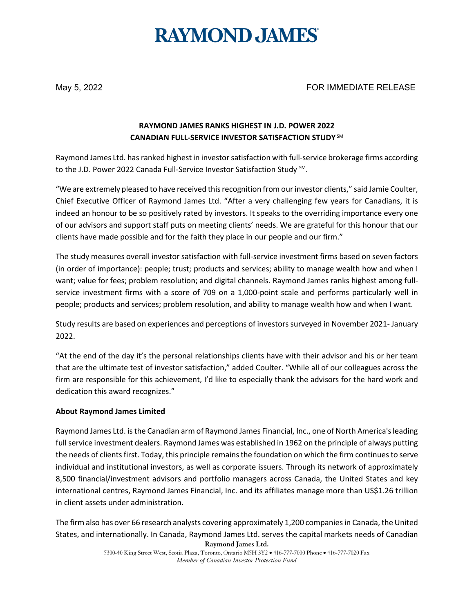# **RAYMOND JAMES®**

May 5, 2022 FOR IMMEDIATE RELEASE

## **RAYMOND JAMES RANKS HIGHEST IN J.D. POWER 2022 CANADIAN FULL-SERVICE INVESTOR SATISFACTION STUDY** SM

Raymond James Ltd. has ranked highest in investor satisfaction with full-service brokerage firms according to the J.D. Power 2022 Canada Full-Service Investor Satisfaction Study SM.

"We are extremely pleased to have received this recognition from our investor clients," said Jamie Coulter, Chief Executive Officer of Raymond James Ltd. "After a very challenging few years for Canadians, it is indeed an honour to be so positively rated by investors. It speaks to the overriding importance every one of our advisors and support staff puts on meeting clients' needs. We are grateful for this honour that our clients have made possible and for the faith they place in our people and our firm."

The study measures overall investor satisfaction with full-service investment firms based on seven factors (in order of importance): people; trust; products and services; ability to manage wealth how and when I want; value for fees; problem resolution; and digital channels. Raymond James ranks highest among fullservice investment firms with a score of 709 on a 1,000-point scale and performs particularly well in people; products and services; problem resolution, and ability to manage wealth how and when I want.

Study results are based on experiences and perceptions of investors surveyed in November 2021- January 2022.

"At the end of the day it's the personal relationships clients have with their advisor and his or her team that are the ultimate test of investor satisfaction," added Coulter. "While all of our colleagues across the firm are responsible for this achievement, I'd like to especially thank the advisors for the hard work and dedication this award recognizes."

#### **About Raymond James Limited**

Raymond James Ltd. is the Canadian arm of Raymond James Financial, Inc., one of North America's leading full service investment dealers. Raymond James was established in 1962 on the principle of always putting the needs of clients first. Today, this principle remains the foundation on which the firm continues to serve individual and institutional investors, as well as corporate issuers. Through its network of approximately 8,500 financial/investment advisors and portfolio managers across Canada, the United States and key international centres, Raymond James Financial, Inc. and its affiliates manage more than US\$1.26 trillion in client assets under administration.

**Raymond James Ltd.** The firm also has over 66 research analysts covering approximately 1,200 companies in Canada, the United States, and internationally. In Canada, Raymond James Ltd. serves the capital markets needs of Canadian